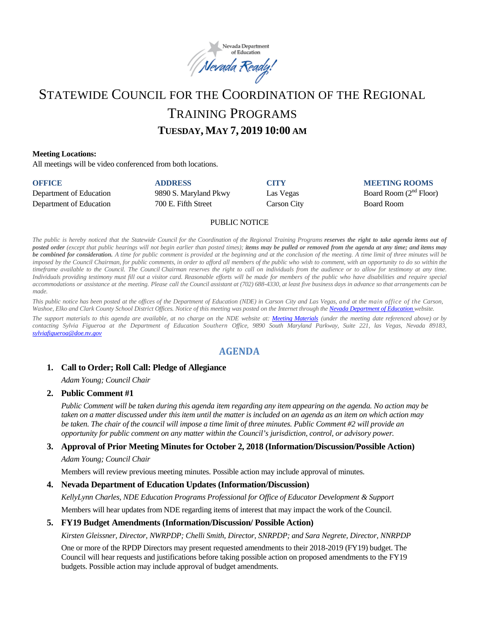

# STATEWIDE COUNCIL FOR THE COORDINATION OF THE REGIONAL TRAINING PROGRAMS **TUESDAY, MAY 7, 2019 10:00 AM**

#### **Meeting Locations:**

All meetings will be video conferenced from both locations.

| <b>OFFICE</b>           | <b>ADDRESS</b>        | CITY        | <b>MEETING ROOMS</b>     |
|-------------------------|-----------------------|-------------|--------------------------|
| Department of Education | 9890 S. Maryland Pkwy | Las Vegas   | Board Room $(2nd$ Floor) |
| Department of Education | 700 E. Fifth Street   | Carson City | <b>Board Room</b>        |

#### PUBLIC NOTICE

The public is hereby noticed that the Statewide Council for the Coordination of the Regional Training Programs reserves the right to take agenda items out of posted order (except that public hearings will not begin earlier than posted times); items may be pulled or removed from the agenda at any time; and items may be combined for consideration. A time for public comment is provided at the beginning and at the conclusion of the meeting. A time limit of three minutes will be imposed by the Council Chairman, for public comments, in order to afford all members of the public who wish to comment, with an opportunity to do so within the timeframe available to the Council. The Council Chairman reserves the right to call on individuals from the audience or to allow for testimony at any time. Individuals providing testimony must fill out a visitor card. Reasonable efforts will be made for members of the public who have disabilities and require special accommodations or assistance at the meeting. Please call the Council assistant at (702) 688-4330, at least five business days in advance so that arrangements can be *made.*

This public notice has been posted at the offices of the Department of Education (NDE) in Carson City and Las Vegas, and at the main office of the Carson, Washoe, Elko and Clark County School District Offices. Notice of this meeting was posted on the Internet through th[e Nevada Department](http://www.doe.nv.gov/) of Education website.

The support materials to this agenda are available, at no charge on the NDE website at: [Meeting Materials](http://www.doe.nv.gov/StateBoardEducationMeetings/) (under the meeting date referenced above) or by *contacting Sylvia Figueroa at the Department of Education Southern Office, 9890 South Maryland Parkway, Suite 221, las Vegas, Nevada 89183, [sylviafigueroa@doe.nv.gov](file://ndoe/shares/Groups/EEFE/Commissions,%20Boards%20and%20Councils/RPDP%20Council/2018-2019/Meetings/5-7-19/Drafts/sylviafigueroa@doe.nv.gov%20)*

# **AGENDA**

#### **1. Call to Order; Roll Call: Pledge of Allegiance**

*Adam Young; Council Chair* 

#### **2. Public Comment #1**

*Public Comment will be taken during this agenda item regarding any item appearing on the agenda. No action may be taken on a matter discussed under this item until the matter is included on an agenda as an item on which action may*  be taken. The chair of the council will impose a time limit of three minutes. Public Comment #2 will provide an *opportunity for public comment on any matter within the Council's jurisdiction, control, or advisory power.* 

#### **3. Approval of Prior Meeting Minutes for October 2, 2018 (Information/Discussion/Possible Action)**

*Adam Young; Council Chair* 

Members will review previous meeting minutes. Possible action may include approval of minutes.

#### **4. Nevada Department of Education Updates (Information/Discussion)**

*KellyLynn Charles, NDE Education Programs Professional for Office of Educator Development & Support*

Members will hear updates from NDE regarding items of interest that may impact the work of the Council.

#### **5. FY19 Budget Amendments (Information/Discussion/ Possible Action)**

*Kirsten Gleissner, Director, NWRPDP; Chelli Smith, Director, SNRPDP; and Sara Negrete, Director, NNRPDP* 

One or more of the RPDP Directors may present requested amendments to their 2018-2019 (FY19) budget. The Council will hear requests and justifications before taking possible action on proposed amendments to the FY19 budgets. Possible action may include approval of budget amendments.